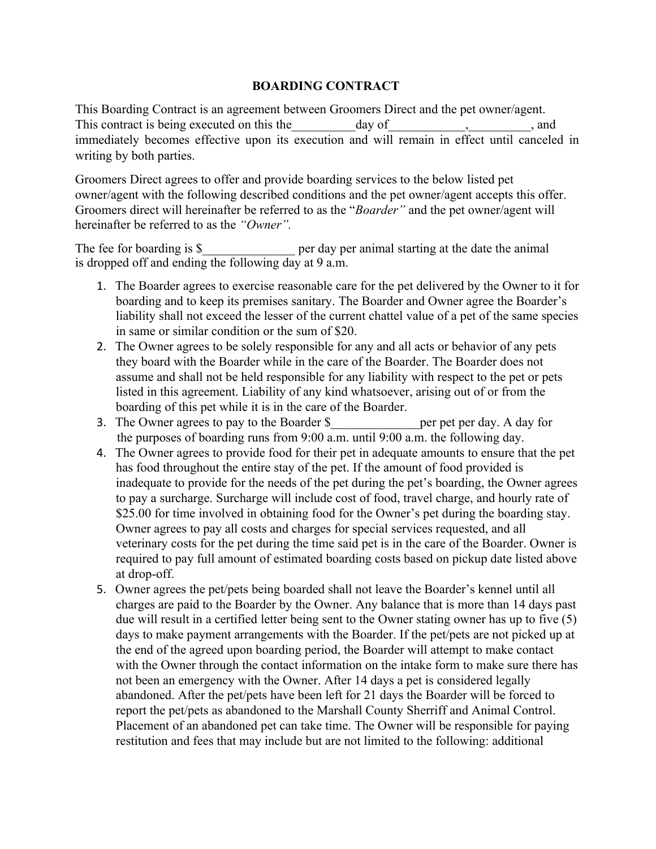## **BOARDING CONTRACT**

This Boarding Contract is an agreement between Groomers Direct and the pet owner/agent. This contract is being executed on this the day of executed on this the day of the state of  $\alpha$ , and immediately becomes effective upon its execution and will remain in effect until canceled in writing by both parties.

Groomers Direct agrees to offer and provide boarding services to the below listed pet owner/agent with the following described conditions and the pet owner/agent accepts this offer. Groomers direct will hereinafter be referred to as the "*Boarder"* and the pet owner/agent will hereinafter be referred to as the *"Owner".*

The fee for boarding is  $\S$  per day per animal starting at the date the animal is dropped off and ending the following day at 9 a.m.

- 1. The Boarder agrees to exercise reasonable care for the pet delivered by the Owner to it for boarding and to keep its premises sanitary. The Boarder and Owner agree the Boarder's liability shall not exceed the lesser of the current chattel value of a pet of the same species in same or similar condition or the sum of \$20.
- 2. The Owner agrees to be solely responsible for any and all acts or behavior of any pets they board with the Boarder while in the care of the Boarder. The Boarder does not assume and shall not be held responsible for any liability with respect to the pet or pets listed in this agreement. Liability of any kind whatsoever, arising out of or from the boarding of this pet while it is in the care of the Boarder.
- 3. The Owner agrees to pay to the Boarder \$ per pet per day. A day for the purposes of boarding runs from 9:00 a.m. until 9:00 a.m. the following day.
- 4. The Owner agrees to provide food for their pet in adequate amounts to ensure that the pet has food throughout the entire stay of the pet. If the amount of food provided is inadequate to provide for the needs of the pet during the pet's boarding, the Owner agrees to pay a surcharge. Surcharge will include cost of food, travel charge, and hourly rate of \$25.00 for time involved in obtaining food for the Owner's pet during the boarding stay. Owner agrees to pay all costs and charges for special services requested, and all veterinary costs for the pet during the time said pet is in the care of the Boarder. Owner is required to pay full amount of estimated boarding costs based on pickup date listed above at drop-off.
- 5. Owner agrees the pet/pets being boarded shall not leave the Boarder's kennel until all charges are paid to the Boarder by the Owner. Any balance that is more than 14 days past due will result in a certified letter being sent to the Owner stating owner has up to five (5) days to make payment arrangements with the Boarder. If the pet/pets are not picked up at the end of the agreed upon boarding period, the Boarder will attempt to make contact with the Owner through the contact information on the intake form to make sure there has not been an emergency with the Owner. After 14 days a pet is considered legally abandoned. After the pet/pets have been left for 21 days the Boarder will be forced to report the pet/pets as abandoned to the Marshall County Sherriff and Animal Control. Placement of an abandoned pet can take time. The Owner will be responsible for paying restitution and fees that may include but are not limited to the following: additional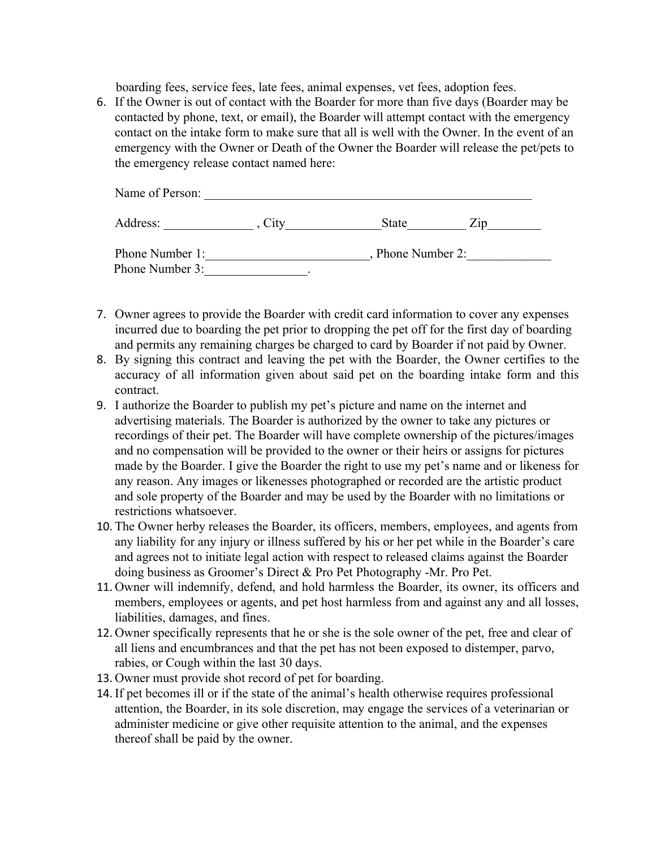boarding fees, service fees, late fees, animal expenses, vet fees, adoption fees.

6. If the Owner is out of contact with the Boarder for more than five days (Boarder may be contacted by phone, text, or email), the Boarder will attempt contact with the emergency contact on the intake form to make sure that all is well with the Owner. In the event of an emergency with the Owner or Death of the Owner the Boarder will release the pet/pets to the emergency release contact named here:

| Name of Person: |                      |              |       |
|-----------------|----------------------|--------------|-------|
| Address:        | $\mathcal{L}_{1}$ tv | <b>State</b> | 7.1 N |
| Phone Number 1: | Phone Number 2:      |              |       |
| Phone Number 3: |                      |              |       |

- 7. Owner agrees to provide the Boarder with credit card information to cover any expenses incurred due to boarding the pet prior to dropping the pet off for the first day of boarding and permits any remaining charges be charged to card by Boarder if not paid by Owner.
- 8. By signing this contract and leaving the pet with the Boarder, the Owner certifies to the accuracy of all information given about said pet on the boarding intake form and this contract.
- 9. I authorize the Boarder to publish my pet's picture and name on the internet and advertising materials. The Boarder is authorized by the owner to take any pictures or recordings of their pet. The Boarder will have complete ownership of the pictures/images and no compensation will be provided to the owner or their heirs or assigns for pictures made by the Boarder. I give the Boarder the right to use my pet's name and or likeness for any reason. Any images or likenesses photographed or recorded are the artistic product and sole property of the Boarder and may be used by the Boarder with no limitations or restrictions whatsoever.
- 10. The Owner herby releases the Boarder, its officers, members, employees, and agents from any liability for any injury or illness suffered by his or her pet while in the Boarder's care and agrees not to initiate legal action with respect to released claims against the Boarder doing business as Groomer's Direct & Pro Pet Photography -Mr. Pro Pet.
- 11. Owner will indemnify, defend, and hold harmless the Boarder, its owner, its officers and members, employees or agents, and pet host harmless from and against any and all losses, liabilities, damages, and fines.
- 12. Owner specifically represents that he or she is the sole owner of the pet, free and clear of all liens and encumbrances and that the pet has not been exposed to distemper, parvo, rabies, or Cough within the last 30 days.
- 13. Owner must provide shot record of pet for boarding.
- 14.If pet becomes ill or if the state of the animal's health otherwise requires professional attention, the Boarder, in its sole discretion, may engage the services of a veterinarian or administer medicine or give other requisite attention to the animal, and the expenses thereof shall be paid by the owner.